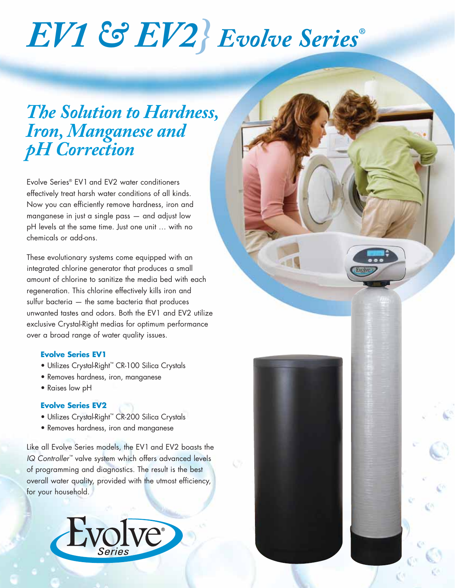# *EV1 & EV2} Evolve Series®*

### *The Solution to Hardness, Iron, Manganese and pH Correction*

Evolve Series® EV1 and EV2 water conditioners effectively treat harsh water conditions of all kinds. Now you can efficiently remove hardness, iron and manganese in just a single pass — and adjust low pH levels at the same time. Just one unit … with no chemicals or add-ons.

These evolutionary systems come equipped with an integrated chlorine generator that produces a small amount of chlorine to sanitize the media bed with each regeneration. This chlorine effectively kills iron and sulfur bacteria — the same bacteria that produces unwanted tastes and odors. Both the EV1 and EV2 utilize exclusive Crystal-Right medias for optimum performance over a broad range of water quality issues.

#### **Evolve Series EV1**

- Utilizes Crystal-Right™ CR-100 Silica Crystals
- Removes hardness, iron, manganese
- Raises low pH

#### **Evolve Series EV2**

- Utilizes Crystal-Right™ CR-200 Silica Crystals
- Removes hardness, iron and manganese

Like all Evolve Series models, the EV1 and EV2 boasts the *IQ Controller™* valve system which offers advanced levels of programming and diagnostics. The result is the best overall water quality, provided with the utmost efficiency, for your household.